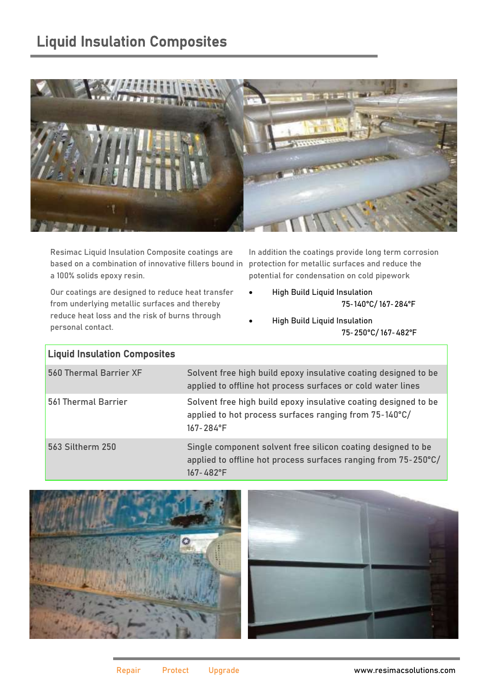## Liquid Insulation Composites



Resimac Liquid Insulation Composite coatings are based on a combination of innovative fillers bound in a 100% solids epoxy resin.

In addition the coatings provide long term corrosion protection for metallic surfaces and reduce the potential for condensation on cold pipework

75-140°C/ 167-284°F

- Our coatings are designed to reduce heat transfer from underlying metallic surfaces and thereby reduce heat loss and the risk of burns through personal contact.
- High Build Liquid Insulation 75-250°C/ 167-482°F

• High Build Liquid Insulation

| <b>Liquid Insulation Composites</b> |                                                                                                                                                  |
|-------------------------------------|--------------------------------------------------------------------------------------------------------------------------------------------------|
| 560 Thermal Barrier XF              | Solvent free high build epoxy insulative coating designed to be<br>applied to offline hot process surfaces or cold water lines                   |
| 561 Thermal Barrier                 | Solvent free high build epoxy insulative coating designed to be<br>applied to hot process surfaces ranging from 75-140°C/<br>$167 - 284$ °F      |
| 563 Siltherm 250                    | Single component solvent free silicon coating designed to be<br>applied to offline hot process surfaces ranging from 75-250°C/<br>$167 - 482$ °F |